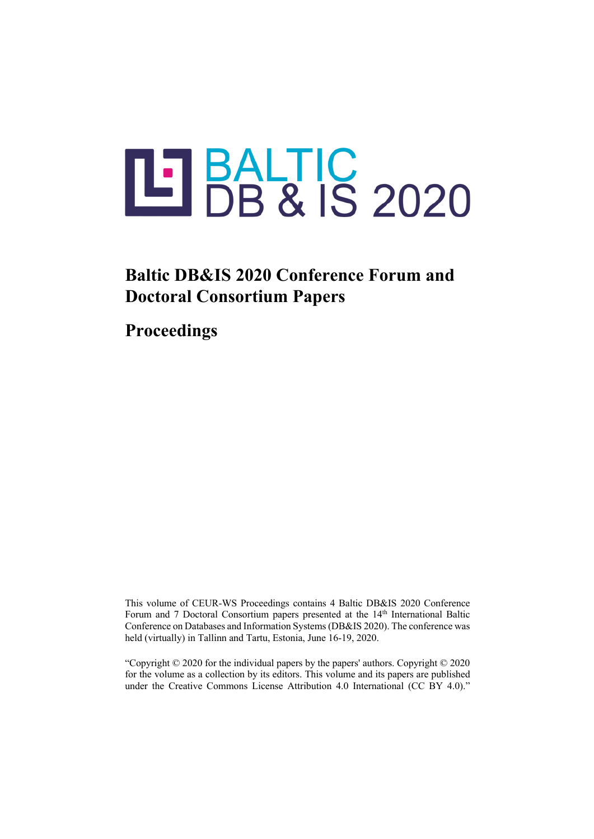# LIBALTIC<br>DB & IS 2020

# **Baltic DB&IS 2020 Conference Forum and Doctoral Consortium Papers**

**Proceedings** 

This volume of CEUR-WS Proceedings contains 4 Baltic DB&IS 2020 Conference Forum and 7 Doctoral Consortium papers presented at the 14<sup>th</sup> International Baltic Conference on Databases and Information Systems (DB&IS 2020). The conference was held (virtually) in Tallinn and Tartu, Estonia, June 16-19, 2020.

"Copyright © 2020 for the individual papers by the papers' authors. Copyright © 2020 for the volume as a collection by its editors. This volume and its papers are published under the Creative Commons License Attribution 4.0 International (CC BY 4.0)."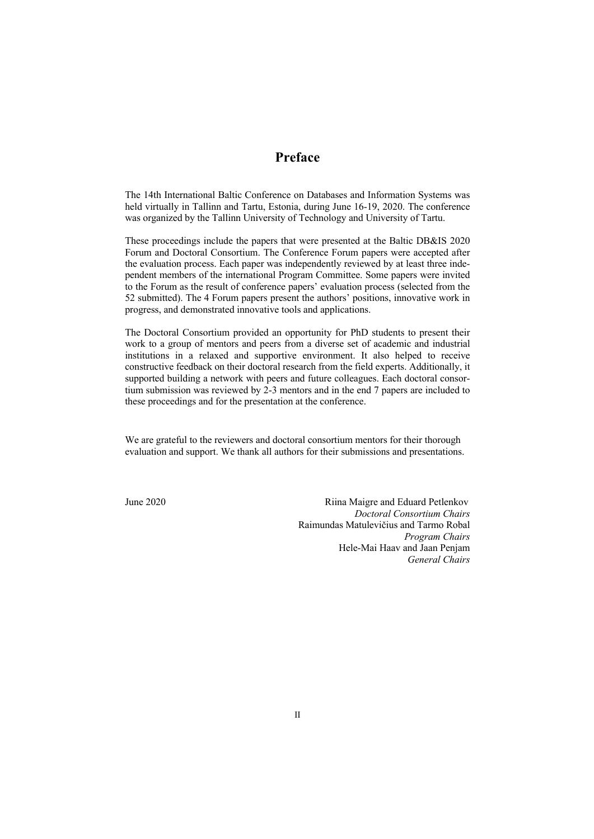### **Preface**

The 14th International Baltic Conference on Databases and Information Systems was held virtually in Tallinn and Tartu, Estonia, during June 16-19, 2020. The conference was organized by the Tallinn University of Technology and University of Tartu.

These proceedings include the papers that were presented at the Baltic DB&IS 2020 Forum and Doctoral Consortium. The Conference Forum papers were accepted after the evaluation process. Each paper was independently reviewed by at least three independent members of the international Program Committee. Some papers were invited to the Forum as the result of conference papers' evaluation process (selected from the 52 submitted). The 4 Forum papers present the authors' positions, innovative work in progress, and demonstrated innovative tools and applications.

The Doctoral Consortium provided an opportunity for PhD students to present their work to a group of mentors and peers from a diverse set of academic and industrial institutions in a relaxed and supportive environment. It also helped to receive constructive feedback on their doctoral research from the field experts. Additionally, it supported building a network with peers and future colleagues. Each doctoral consortium submission was reviewed by 2-3 mentors and in the end 7 papers are included to these proceedings and for the presentation at the conference.

We are grateful to the reviewers and doctoral consortium mentors for their thorough evaluation and support. We thank all authors for their submissions and presentations.

June 2020 Riina Maigre and Eduard Petlenkov *Doctoral Consortium Chairs* Raimundas Matulevičius and Tarmo Robal *Program Chairs* Hele-Mai Haav and Jaan Penjam *General Chairs*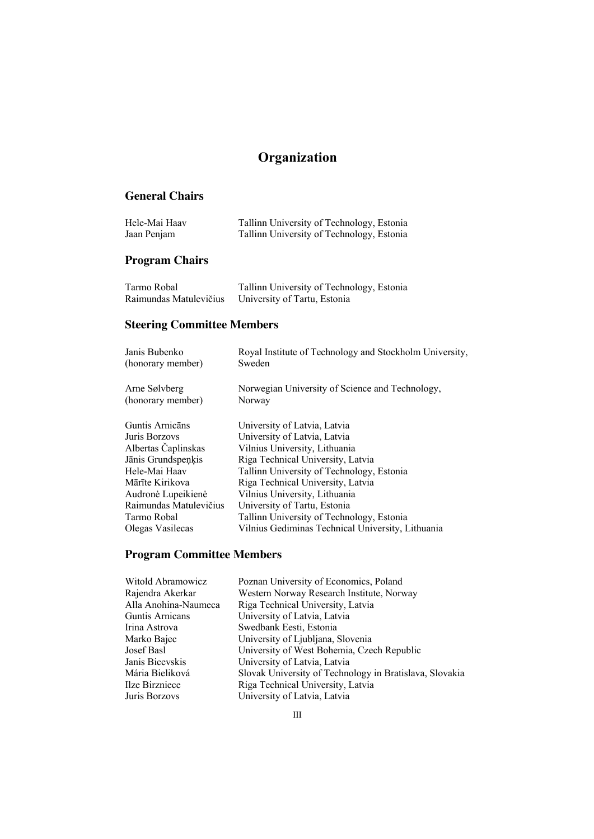# **Organization**

### **General Chairs**

| Hele-Mai Haav | Tallinn University of Technology, Estonia |
|---------------|-------------------------------------------|
| Jaan Penjam   | Tallinn University of Technology, Estonia |

## **Program Chairs**

| Tarmo Robal            | Tallinn University of Technology, Estonia |
|------------------------|-------------------------------------------|
| Raimundas Matulevičius | University of Tartu, Estonia              |

# **Steering Committee Members**

| Royal Institute of Technology and Stockholm University,<br>Sweden |
|-------------------------------------------------------------------|
|                                                                   |
| Norwegian University of Science and Technology,                   |
| Norway                                                            |
| University of Latvia, Latvia                                      |
| University of Latvia, Latvia                                      |
| Vilnius University, Lithuania                                     |
| Riga Technical University, Latvia                                 |
| Tallinn University of Technology, Estonia                         |
| Riga Technical University, Latvia                                 |
| Vilnius University, Lithuania                                     |
| University of Tartu, Estonia                                      |
| Tallinn University of Technology, Estonia                         |
| Vilnius Gediminas Technical University, Lithuania                 |
|                                                                   |

# **Program Committee Members**

| Witold Abramowicz    | Poznan University of Economics, Poland                  |
|----------------------|---------------------------------------------------------|
| Rajendra Akerkar     | Western Norway Research Institute, Norway               |
| Alla Anohina-Naumeca | Riga Technical University, Latvia                       |
| Guntis Arnicans      | University of Latvia, Latvia                            |
| Irina Astrova        | Swedbank Eesti, Estonia                                 |
| Marko Bajec          | University of Ljubljana, Slovenia                       |
| Josef Basl           | University of West Bohemia, Czech Republic              |
| Janis Bicevskis      | University of Latvia, Latvia                            |
| Mária Bieliková      | Slovak University of Technology in Bratislava, Slovakia |
| Ilze Birzniece       | Riga Technical University, Latvia                       |
| Juris Borzovs        | University of Latvia, Latvia                            |
|                      |                                                         |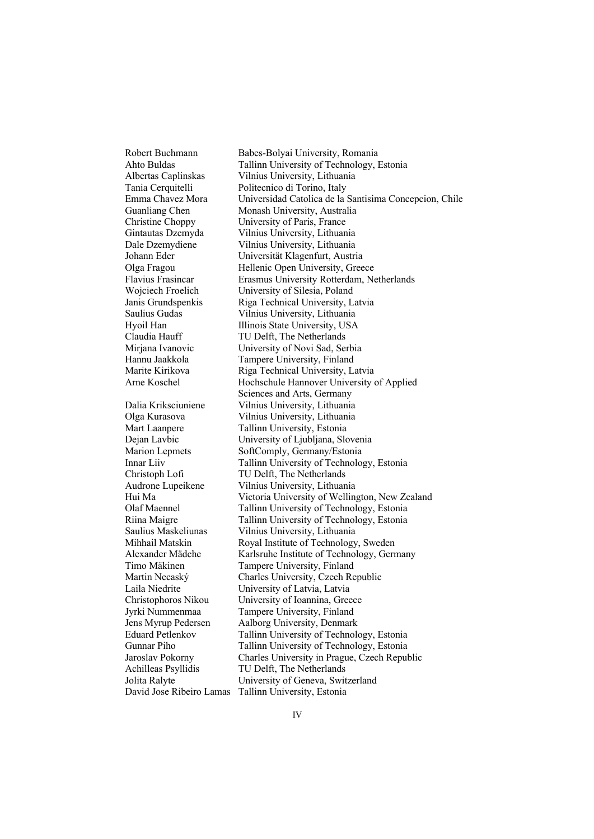Robert Buchmann Babes-Bolyai University, Romania Ahto Buldas Tallinn University of Technology, Estonia Albertas Caplinskas Vilnius University, Lithuania Tania Cerquitelli Politecnico di Torino, Italy Universidad Catolica de la Santisima Concepcion, Chile Guanliang Chen Monash University, Australia Christine Choppy University of Paris, France Gintautas Dzemyda Vilnius University, Lithuania Dale Dzemydiene Vilnius University, Lithuania Johann Eder Universität Klagenfurt, Austria Olga Fragou Hellenic Open University, Greece Flavius Frasincar Erasmus University Rotterdam, Netherlands Wojciech Froelich University of Silesia, Poland Janis Grundspenkis Riga Technical University, Latvia Saulius Gudas Vilnius University, Lithuania Hyoil Han Illinois State University, USA Claudia Hauff TU Delft, The Netherlands Mirjana Ivanovic University of Novi Sad, Serbia Hannu Jaakkola Tampere University, Finland Marite Kirikova Riga Technical University, Latvia Arne Koschel Hochschule Hannover University of Applied Sciences and Arts, Germany Dalia Kriksciuniene Vilnius University, Lithuania Olga Kurasova Vilnius University, Lithuania Mart Laanpere Tallinn University, Estonia Dejan Lavbic University of Ljubljana, Slovenia Marion Lepmets SoftComply, Germany/Estonia Innar Liiv Tallinn University of Technology, Estonia Christoph Lofi TU Delft, The Netherlands Audrone Lupeikene Vilnius University, Lithuania Victoria University of Wellington, New Zealand Olaf Maennel Tallinn University of Technology, Estonia Riina Maigre Tallinn University of Technology, Estonia Saulius Maskeliunas Vilnius University, Lithuania Mihhail Matskin Royal Institute of Technology, Sweden Alexander Mädche Karlsruhe Institute of Technology, Germany Timo Mäkinen Tampere University, Finland Martin Necaský Charles University, Czech Republic Laila Niedrite University of Latvia, Latvia Christophoros Nikou University of Ioannina, Greece Jyrki Nummenmaa Tampere University, Finland Jens Myrup Pedersen Aalborg University, Denmark Eduard Petlenkov Tallinn University of Technology, Estonia Gunnar Piho Tallinn University of Technology, Estonia Jaroslav Pokorny Charles University in Prague, Czech Republic Achilleas Psyllidis TU Delft, The Netherlands Jolita Ralyte University of Geneva, Switzerland David Jose Ribeiro Lamas Tallinn University, Estonia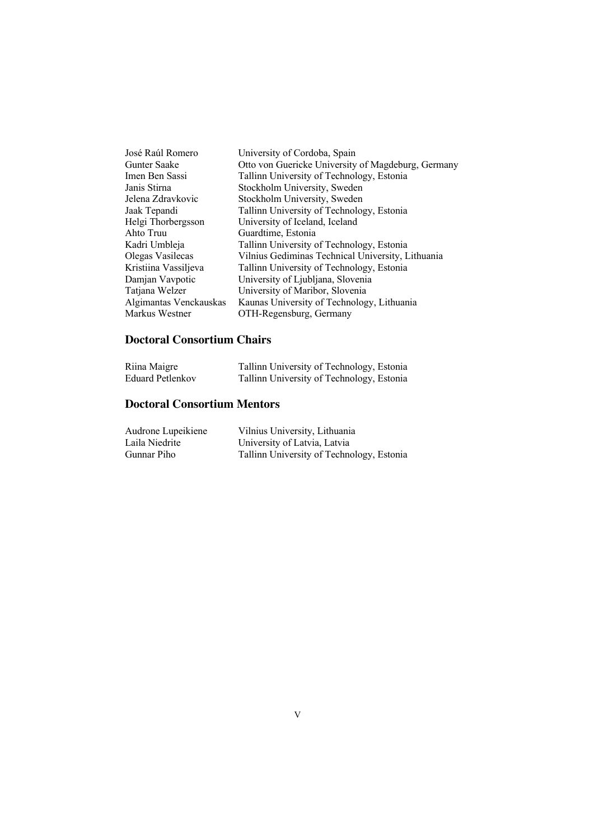| José Raúl Romero       | University of Cordoba, Spain                       |
|------------------------|----------------------------------------------------|
| Gunter Saake           | Otto von Guericke University of Magdeburg, Germany |
| Imen Ben Sassi         | Tallinn University of Technology, Estonia          |
| Janis Stirna           | Stockholm University, Sweden                       |
| Jelena Zdravkovic      | Stockholm University, Sweden                       |
| Jaak Tepandi           | Tallinn University of Technology, Estonia          |
| Helgi Thorbergsson     | University of Iceland, Iceland                     |
| Ahto Truu              | Guardtime, Estonia                                 |
| Kadri Umbleja          | Tallinn University of Technology, Estonia          |
| Olegas Vasilecas       | Vilnius Gediminas Technical University, Lithuania  |
| Kristiina Vassiljeva   | Tallinn University of Technology, Estonia          |
| Damjan Vavpotic        | University of Ljubljana, Slovenia                  |
| Tatjana Welzer         | University of Maribor, Slovenia                    |
| Algimantas Venckauskas | Kaunas University of Technology, Lithuania         |
| Markus Westner         | OTH-Regensburg, Germany                            |
|                        |                                                    |

### **Doctoral Consortium Chairs**

| Riina Maigre     | Tallinn University of Technology, Estonia |
|------------------|-------------------------------------------|
| Eduard Petlenkov | Tallinn University of Technology, Estonia |

### **Doctoral Consortium Mentors**

| Audrone Lupeikiene | Vilnius University, Lithuania             |
|--------------------|-------------------------------------------|
| Laila Niedrite     | University of Latvia, Latvia              |
| Gunnar Piho        | Tallinn University of Technology, Estonia |